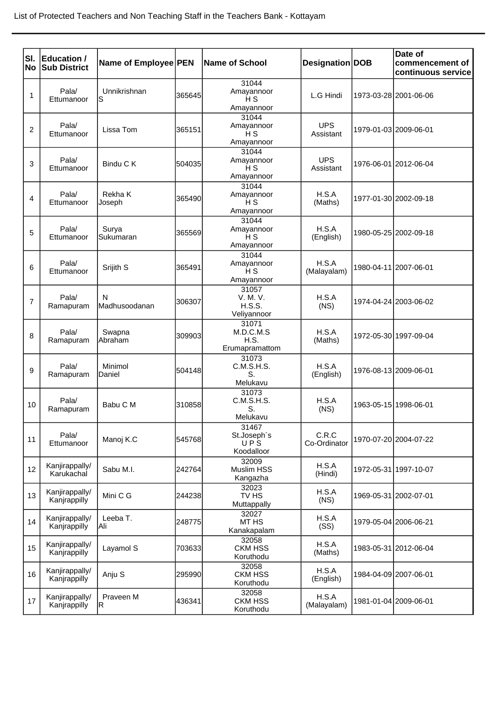| SI.            | Education /         |                      |        |                              |                         |                       | Date of                               |
|----------------|---------------------|----------------------|--------|------------------------------|-------------------------|-----------------------|---------------------------------------|
| <b>No</b>      | <b>Sub District</b> | Name of Employee PEN |        | <b>Name of School</b>        | Designation DOB         |                       | commencement of<br>continuous service |
|                | Pala/               | Unnikrishnan         |        | 31044<br>Amayannoor          |                         |                       |                                       |
| 1              | Ettumanoor          | S                    | 365645 | H <sub>S</sub>               | L.G Hindi               |                       | 1973-03-28 2001-06-06                 |
|                |                     |                      |        | Amayannoor<br>31044          |                         |                       |                                       |
| 2              | Pala/               | Lissa Tom            | 365151 | Amayannoor                   | <b>UPS</b>              |                       | 1979-01-03 2009-06-01                 |
|                | Ettumanoor          |                      |        | H <sub>S</sub><br>Amayannoor | Assistant               |                       |                                       |
|                |                     |                      |        | 31044                        |                         |                       |                                       |
| 3              | Pala/<br>Ettumanoor | Bindu C K            | 504035 | Amayannoor<br>H <sub>S</sub> | <b>UPS</b><br>Assistant |                       | 1976-06-01 2012-06-04                 |
|                |                     |                      |        | Amayannoor                   |                         |                       |                                       |
| 4              | Pala/               | Rekha K              | 365490 | 31044<br>Amayannoor          | H.S.A                   |                       | 1977-01-30 2002-09-18                 |
|                | Ettumanoor          | Joseph               |        | H <sub>S</sub><br>Amayannoor | (Maths)                 |                       |                                       |
|                |                     |                      |        | 31044                        |                         |                       |                                       |
| 5              | Pala/<br>Ettumanoor | Surya<br>Sukumaran   | 365569 | Amayannoor<br>H <sub>S</sub> | H.S.A<br>(English)      |                       | 1980-05-25 2002-09-18                 |
|                |                     |                      |        | Amayannoor                   |                         |                       |                                       |
|                | Pala/               |                      |        | 31044<br>Amayannoor          | H.S.A                   |                       | 1980-04-11 2007-06-01                 |
| 6              | Ettumanoor          | Srijith S            | 365491 | H <sub>S</sub>               | (Malayalam)             |                       |                                       |
|                |                     |                      |        | Amayannoor<br>31057          |                         |                       |                                       |
| $\overline{7}$ | Pala/               | N                    | 306307 | V. M. V.                     | H.S.A                   |                       | 1974-04-24 2003-06-02                 |
|                | Ramapuram           | Madhusoodanan        |        | <b>H.S.S.</b><br>Veliyannoor | (NS)                    |                       |                                       |
|                | Pala/               | Swapna               |        | 31071<br>M.D.C.M.S           | H.S.A                   |                       |                                       |
| 8              | Ramapuram           | Abraham              | 309903 | H.S.                         | (Maths)                 |                       | 1972-05-30 1997-09-04                 |
|                |                     |                      |        | Erumapramattom<br>31073      |                         |                       |                                       |
| 9              | Pala/               | Minimol              | 504148 | C.M.S.H.S.                   | H.S.A                   | 1976-08-13 2009-06-01 |                                       |
|                | Ramapuram           | Daniel               |        | S.<br>Melukavu               | (English)               |                       |                                       |
|                |                     |                      |        | 31073                        |                         |                       |                                       |
| 10             | Pala/<br>Ramapuram  | Babu C M             | 310858 | C.M.S.H.S.<br>S.             | H.S.A<br>(NS)           | 1963-05-15 1998-06-01 |                                       |
|                |                     |                      |        | Melukavu<br>31467            |                         |                       |                                       |
| 11             | Pala/               | Manoj K.C            | 545768 | St.Joseph's                  | C.R.C                   |                       | 1970-07-20 2004-07-22                 |
|                | Ettumanoor          |                      |        | UPS<br>Koodalloor            | Co-Ordinator            |                       |                                       |
|                | Kanjirappally/      |                      |        | 32009                        | H.S.A                   |                       |                                       |
| 12             | Karukachal          | Sabu M.I.            | 242764 | Muslim HSS<br>Kangazha       | (Hindi)                 |                       | 1972-05-31 1997-10-07                 |
|                | Kanjirappally/      |                      |        | 32023                        | H.S.A                   |                       |                                       |
| 13             | Kanjrappilly        | Mini C G             | 244238 | TV HS<br>Muttappally         | (NS)                    |                       | 1969-05-31 2002-07-01                 |
|                | Kanjirappally/      | Leeba T.             |        | 32027                        | H.S.A                   |                       |                                       |
| 14             | Kanjrappilly        | Ali                  | 248775 | MT HS<br>Kanakapalam         | (SS)                    | 1979-05-04 2006-06-21 |                                       |
| 15             | Kanjirappally/      | Layamol S            | 703633 | 32058<br><b>CKM HSS</b>      | H.S.A                   |                       | 1983-05-31 2012-06-04                 |
|                | Kanjrappilly        |                      |        | Koruthodu                    | (Maths)                 |                       |                                       |
| 16             | Kanjirappally/      | Anju S               | 295990 | 32058<br><b>CKM HSS</b>      | H.S.A                   |                       | 1984-04-09 2007-06-01                 |
|                | Kanjrappilly        |                      |        | Koruthodu                    | (English)               |                       |                                       |
| 17             | Kanjirappally/      | Praveen M            | 436341 | 32058<br><b>CKM HSS</b>      | H.S.A                   |                       | 1981-01-04 2009-06-01                 |
|                | Kanjrappilly        | R                    |        | Koruthodu                    | (Malayalam)             |                       |                                       |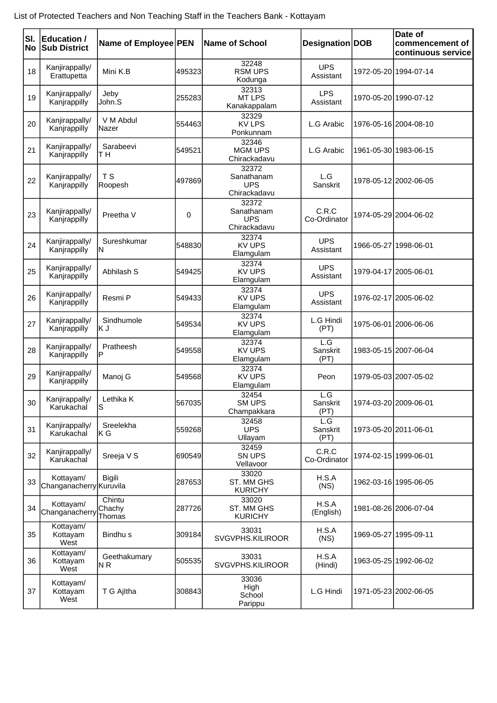| SI.<br><b>No</b> | <b>Education /</b><br><b>Sub District</b> | Name of Employee PEN       |             | <b>Name of School</b>                             | Designation   DOB       |                       | Date of<br>commencement of<br>continuous service |
|------------------|-------------------------------------------|----------------------------|-------------|---------------------------------------------------|-------------------------|-----------------------|--------------------------------------------------|
| 18               | Kanjirappally/<br>Erattupetta             | Mini K.B                   | 495323      | 32248<br><b>RSM UPS</b><br>Kodunga                | <b>UPS</b><br>Assistant |                       | 1972-05-20 1994-07-14                            |
| 19               | Kanjirappally/<br>Kanjrappilly            | Jeby<br>John.S             | 255283      | 32313<br><b>MT LPS</b><br>Kanakappalam            | <b>LPS</b><br>Assistant |                       | 1970-05-20 1990-07-12                            |
| 20               | Kanjirappally/<br>Kanjrappilly            | V M Abdul<br>Nazer         | 554463      | 32329<br><b>KV LPS</b><br>Ponkunnam               | L.G Arabic              |                       | 1976-05-16 2004-08-10                            |
| 21               | Kanjirappally/<br>Kanjrappilly            | Sarabeevi<br>T H           | 549521      | 32346<br><b>MGM UPS</b><br>Chirackadavu           | L.G Arabic              |                       | 1961-05-30 1983-06-15                            |
| 22               | Kanjirappally/<br>Kanjrappilly            | T <sub>S</sub><br>Roopesh  | 497869      | 32372<br>Sanathanam<br><b>UPS</b><br>Chirackadavu | L.G<br>Sanskrit         |                       | 1978-05-12 2002-06-05                            |
| 23               | Kanjirappally/<br>Kanjrappilly            | Preetha V                  | $\mathbf 0$ | 32372<br>Sanathanam<br><b>UPS</b><br>Chirackadavu | C.R.C<br>Co-Ordinator   |                       | 1974-05-29 2004-06-02                            |
| 24               | Kanjirappally/<br>Kanjrappilly            | Sureshkumar<br>ΙN          | 548830      | 32374<br><b>KV UPS</b><br>Elamgulam               | <b>UPS</b><br>Assistant | 1966-05-27 1998-06-01 |                                                  |
| 25               | Kanjirappally/<br>Kanjrappilly            | Abhilash S                 | 549425      | 32374<br><b>KV UPS</b><br>Elamgulam               | <b>UPS</b><br>Assistant | 1979-04-17 2005-06-01 |                                                  |
| 26               | Kanjirappally/<br>Kanjrappilly            | Resmi P                    | 549433      | 32374<br><b>KV UPS</b><br>Elamgulam               | <b>UPS</b><br>Assistant |                       | 1976-02-17 2005-06-02                            |
| 27               | Kanjirappally/<br>Kanjrappilly            | Sindhumole<br>ΚJ           | 549534      | 32374<br><b>KV UPS</b><br>Elamgulam               | L.G Hindi<br>(PT)       |                       | 1975-06-01 2006-06-06                            |
| 28               | Kanjirappally/<br>Kanjrappilly            | Pratheesh<br>P             | 549558      | 32374<br><b>KV UPS</b><br>Elamgulam               | L.G<br>Sanskrit<br>(PT) |                       | 1983-05-15 2007-06-04                            |
| 29               | Kanjirappally/<br>Kanjrappilly            | Manoj G                    | 549568      | 32374<br><b>KV UPS</b><br>Elamgulam               | Peon                    |                       | 1979-05-03 2007-05-02                            |
| 30               | Kanjirappally/<br>Karukachal              | Lethika K<br>S             | 567035      | 32454<br><b>SM UPS</b><br>Champakkara             | L.G<br>Sanskrit<br>(PT) | 1974-03-20 2009-06-01 |                                                  |
| 31               | Kanjirappally/<br>Karukachal              | Sreelekha<br>ΚG            | 559268      | 32458<br><b>UPS</b><br>Ullayam                    | L.G<br>Sanskrit<br>(PT) |                       | 1973-05-20 2011-06-01                            |
| 32               | Kanjirappally/<br>Karukachal              | Sreeja V S                 | 690549      | 32459<br>SN UPS<br>Vellavoor                      | C.R.C<br>Co-Ordinator   |                       | 1974-02-15 1999-06-01                            |
| 33               | Kottayam/<br>Changanacherry Kuruvila      | <b>Bigili</b>              | 287653      | 33020<br>ST. MM GHS<br><b>KURICHY</b>             | H.S.A<br>(NS)           |                       | 1962-03-16 1995-06-05                            |
| 34               | Kottayam/<br>Changanacherry               | Chintu<br>Chachy<br>Thomas | 287726      | 33020<br>ST. MM GHS<br><b>KURICHY</b>             | H.S.A<br>(English)      |                       | 1981-08-26 2006-07-04                            |
| 35               | Kottayam/<br>Kottayam<br>West             | Bindhu <sub>s</sub>        | 309184      | 33031<br>SVGVPHS.KILIROOR                         | H.S.A<br>(NS)           | 1969-05-27 1995-09-11 |                                                  |
| 36               | Kottayam/<br>Kottayam<br>West             | Geethakumary<br>N R        | 505535      | 33031<br>SVGVPHS.KILIROOR                         | H.S.A<br>(Hindi)        |                       | 1963-05-25 1992-06-02                            |
| 37               | Kottayam/<br>Kottayam<br>West             | T G Ajltha                 | 308843      | 33036<br>High<br>School<br>Parippu                | L.G Hindi               |                       | 1971-05-23 2002-06-05                            |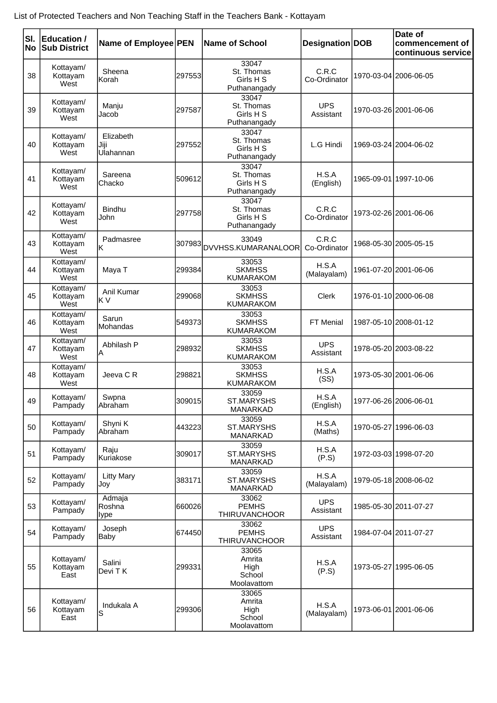| SI.<br><b>No</b> | <b>Education /</b><br><b>Sub District</b> | Name of Employee PEN           |         | <b>Name of School</b>                            | Designation DOB         | Date of<br>commencement of<br>continuous service |
|------------------|-------------------------------------------|--------------------------------|---------|--------------------------------------------------|-------------------------|--------------------------------------------------|
| 38               | Kottayam/<br>Kottayam<br>West             | Sheena<br>Korah                | 297553  | 33047<br>St. Thomas<br>Girls H S<br>Puthanangady | C.R.C<br>Co-Ordinator   | 1970-03-04 2006-06-05                            |
| 39               | Kottayam/<br>Kottayam<br>West             | Manju<br>Jacob                 | 297587  | 33047<br>St. Thomas<br>Girls H S<br>Puthanangady | <b>UPS</b><br>Assistant | 1970-03-26 2001-06-06                            |
| 40               | Kottayam/<br>Kottayam<br>West             | Elizabeth<br>Jiji<br>Ulahannan | 297552  | 33047<br>St. Thomas<br>Girls H S<br>Puthanangady | L.G Hindi               | 1969-03-24 2004-06-02                            |
| 41               | Kottayam/<br>Kottayam<br>West             | Sareena<br>Chacko              | 509612  | 33047<br>St. Thomas<br>Girls H S<br>Puthanangady | H.S.A<br>(English)      | 1965-09-01 1997-10-06                            |
| 42               | Kottayam/<br>Kottayam<br>West             | <b>Bindhu</b><br>John          | 297758  | 33047<br>St. Thomas<br>Girls H S<br>Puthanangady | C.R.C<br>Co-Ordinator   | 1973-02-26 2001-06-06                            |
| 43               | Kottayam/<br>Kottayam<br>West             | Padmasree<br>lκ                |         | 33049<br>307983 DVVHSS.KUMARANALOOR              | C.R.C<br>Co-Ordinator   | 1968-05-30 2005-05-15                            |
| 44               | Kottayam/<br>Kottayam<br>West             | Maya T                         | 299384  | 33053<br><b>SKMHSS</b><br><b>KUMARAKOM</b>       | H.S.A<br>(Malayalam)    | 1961-07-20 2001-06-06                            |
| 45               | Kottayam/<br>Kottayam<br>West             | Anil Kumar<br>lK V             | 299068  | 33053<br><b>SKMHSS</b><br><b>KUMARAKOM</b>       | Clerk                   | 1976-01-10 2000-06-08                            |
| 46               | Kottayam/<br>Kottayam<br>West             | Sarun<br>Mohandas              | 549373  | 33053<br><b>SKMHSS</b><br><b>KUMARAKOM</b>       | FT Menial               | 1987-05-10 2008-01-12                            |
| 47               | Kottayam/<br>Kottayam<br>West             | Abhilash P<br>А                | 298932  | 33053<br><b>SKMHSS</b><br><b>KUMARAKOM</b>       | <b>UPS</b><br>Assistant | 1978-05-20 2003-08-22                            |
| 48               | Kottayam/<br>Kottayam<br>West             | Jeeva C R                      | 298821  | 33053<br><b>SKMHSS</b><br><b>KUMARAKOM</b>       | H.S.A<br>(SS)           | 1973-05-30 2001-06-06                            |
| 49               | Kottayam/<br>Pampady                      | Swpna<br>Abraham               | 309015  | 33059<br>ST.MARYSHS<br>MANARKAD                  | H.S.A<br>(English)      | 1977-06-26 2006-06-01                            |
| 50               | Kottayam/<br>Pampady                      | Shyni K<br>Abraham             | 4432231 | 33059<br>ST.MARYSHS<br>MANARKAD                  | H.S.A<br>(Maths)        | 1970-05-27 1996-06-03                            |
| 51               | Kottayam/<br>Pampady                      | Raju<br>Kuriakose              | 309017  | 33059<br><b>ST.MARYSHS</b><br>MANARKAD           | H.S.A<br>(P.S)          | 1972-03-03 1998-07-20                            |
| 52               | Kottayam/<br>Pampady                      | <b>Litty Mary</b><br>Jov       | 383171  | 33059<br><b>ST.MARYSHS</b><br>MANARKAD           | H.S.A<br>(Malayalam)    | 1979-05-18 2008-06-02                            |
| 53               | Kottayam/<br>Pampady                      | Admaja<br>Roshna<br>lype       | 660026  | 33062<br><b>PEMHS</b><br><b>THIRUVANCHOOR</b>    | <b>UPS</b><br>Assistant | 1985-05-30 2011-07-27                            |
| 54               | Kottayam/<br>Pampady                      | Joseph<br> Baby                | 674450  | 33062<br><b>PEMHS</b><br><b>THIRUVANCHOOR</b>    | <b>UPS</b><br>Assistant | 1984-07-04 2011-07-27                            |
| 55               | Kottayam/<br>Kottayam<br>East             | Salini<br>Devi T K             | 299331  | 33065<br>Amrita<br>High<br>School<br>Moolavattom | H.S.A<br>(P.S)          | 1973-05-27 1995-06-05                            |
| 56               | Kottayam/<br>Kottayam<br>East             | Indukala A<br>S                | 299306  | 33065<br>Amrita<br>High<br>School<br>Moolavattom | H.S.A<br>(Malayalam)    | 1973-06-01 2001-06-06                            |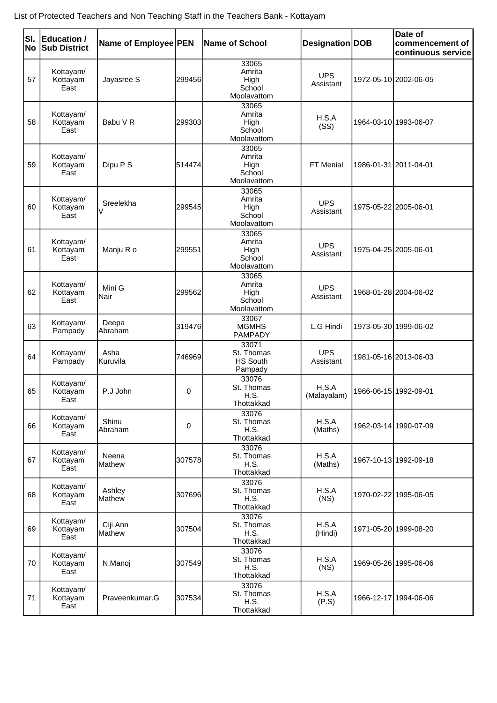| SI.<br><b>No</b> | <b>Education /</b><br><b>Sub District</b> | Name of Employee PEN   |             | <b>Name of School</b>                             | Designation   DOB       | Date of<br>commencement of<br>continuous service |
|------------------|-------------------------------------------|------------------------|-------------|---------------------------------------------------|-------------------------|--------------------------------------------------|
| 57               | Kottayam/<br>Kottayam<br>East             | Jayasree S             | 299456      | 33065<br>Amrita<br>High<br>School<br>Moolavattom  | <b>UPS</b><br>Assistant | 1972-05-10 2002-06-05                            |
| 58               | Kottayam/<br>Kottayam<br>East             | Babu V R               | 299303      | 33065<br>Amrita<br>High<br>School<br>Moolavattom  | H.S.A<br>(SS)           | 1964-03-10 1993-06-07                            |
| 59               | Kottayam/<br>Kottayam<br>East             | Dipu P S               | 514474      | 33065<br>Amrita<br>High<br>School<br>Moolavattom  | FT Menial               | 1986-01-31 2011-04-01                            |
| 60               | Kottayam/<br>Kottayam<br>East             | Sreelekha<br>$\sqrt{}$ | 299545      | 33065<br>Amrita<br>High<br>School<br>Moolavattom  | <b>UPS</b><br>Assistant | 1975-05-22 2005-06-01                            |
| 61               | Kottayam/<br>Kottayam<br>East             | Manju R o              | 299551      | 33065<br>Amrita<br>High<br>School<br>Moolavattom  | <b>UPS</b><br>Assistant | 1975-04-25 2005-06-01                            |
| 62               | Kottayam/<br>Kottayam<br>East             | Mini G<br>lNair        | 299562      | 33065<br>Amrita<br>High<br>School<br>Moolavattom  | <b>UPS</b><br>Assistant | 1968-01-28 2004-06-02                            |
| 63               | Kottayam/<br>Pampady                      | Deepa<br>Abraham       | 319476      | 33067<br><b>MGMHS</b><br><b>PAMPADY</b>           | L.G Hindi               | 1973-05-30 1999-06-02                            |
| 64               | Kottayam/<br>Pampady                      | Asha<br>Kuruvila       | 746969      | 33071<br>St. Thomas<br><b>HS South</b><br>Pampady | <b>UPS</b><br>Assistant | 1981-05-16 2013-06-03                            |
| 65               | Kottayam/<br>Kottayam<br>East             | P.J John               | 0           | 33076<br>St. Thomas<br>H.S.<br>Thottakkad         | H.S.A<br>(Malayalam)    | 1966-06-15 1992-09-01                            |
| 66               | Kottayam/<br>Kottayam<br>East             | Shinu<br>Abraham       | $\mathbf 0$ | 33076<br>St. Thomas<br>H.S.<br>Thottakkad         | H.S.A<br>(Maths)        | 1962-03-14 1990-07-09                            |
| 67               | Kottayam/<br>Kottayam<br>East             | Neena<br><b>Mathew</b> | 307578      | 33076<br>St. Thomas<br>H.S.<br>Thottakkad         | H.S.A<br>(Maths)        | 1967-10-13 1992-09-18                            |
| 68               | Kottayam/<br>Kottayam<br>East             | Ashley<br>Mathew       | 307696      | 33076<br>St. Thomas<br>H.S.<br>Thottakkad         | H.S.A<br>(NS)           | 1970-02-22 1995-06-05                            |
| 69               | Kottayam/<br>Kottayam<br>East             | Ciji Ann<br>Mathew     | 307504      | 33076<br>St. Thomas<br>H.S.<br>Thottakkad         | H.S.A<br>(Hindi)        | 1971-05-20 1999-08-20                            |
| 70               | Kottayam/<br>Kottayam<br>East             | N.Manoj                | 307549      | 33076<br>St. Thomas<br>H.S.<br>Thottakkad         | H.S.A<br>(NS)           | 1969-05-26 1995-06-06                            |
| 71               | Kottayam/<br>Kottayam<br>East             | Praveenkumar.G         | 307534      | 33076<br>St. Thomas<br>H.S.<br>Thottakkad         | H.S.A<br>(P.S)          | 1966-12-17 1994-06-06                            |